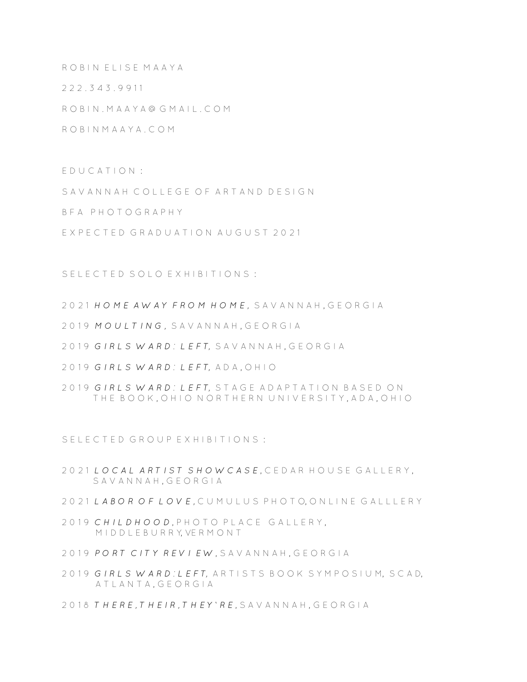ROBIN ELISE MAAYA

2 2 2 . 3 4 3 . 9 9 11

R O B I N . M A A Y A @ G M A I L . C O M

R O B I N M A A Y A . C O M

E D U C A T I O N :

S A V A N N A H C O L L E G E O F A R T A N D D E S L G N

B F A P H O T O G R A P H Y

EXPECTED GRADUATION AUGUST 2021

S E L E C T E D S O L O E X H I B I T I O N S :

2 0 2 1 *H O M E A W A Y F R O M H O M E ,* S A V A N N A H , G E O R G I A

- 2019 MOULTING, SAVANNAH, GEORGIA
- 2019 GIRLS WARD: LEFT, SAVANNAH, GEORGIA
- 2 0 1 9 *G I R L S W A R D : L E F T,* A D A , O H I O
- 2019 *GIRLS WARD: LEFT*, STAGE ADAPTATION BASED ON THE BOOK, OHIO NORTHERN UNIVERSITY, ADA, OHIO

S E L E C T E D G R O U P E X H I B I T I O N S :

- 2 0 2 1 *L O C A L A R T I S T S H O W C A S E* , C E D A R H O U S E G A L L E R Y , SAVANNAH, GEORGIA
- 2 0 2 1 *L A B O R O F L O V E ,* C U M U L U S P H O T O, O N L I N E G A L L L E R Y
- 2019 CHILDHOOD, PHOTO PLACE GALLERY, M I D D L E B U R R Y, VE R M O N T
- 2019 PORT CITY REVIEW, SAVANNAH, GEORGIA
- 2 0 1 9 *G I R L S W A R D : L E F T,* A R T I S T S B O O K S Y M P O S I U M, S C A D, A T L A N T A , G F O R G L A
- 2018 THERE. THEIR, THEY' RE, SAVANNAH, GEORGIA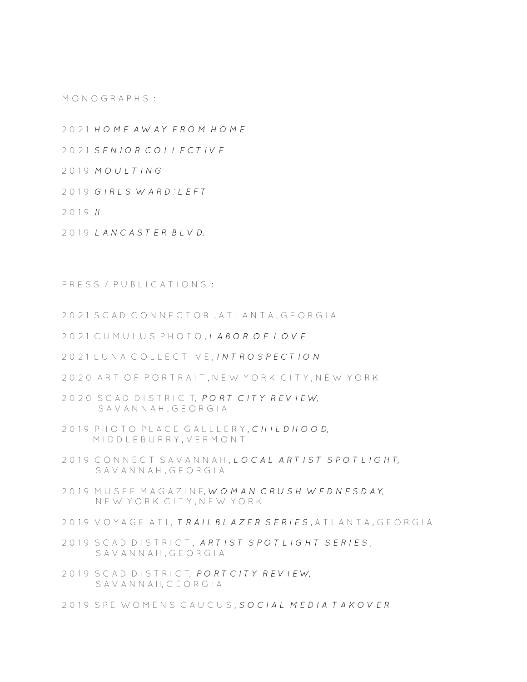M O N O G R A P H S :

2 0 2 1 *H O M E A W A Y F R O M H O M E* 

2 0 2 1 *S E N I O R C O L L E C T I V E* 

2 0 1 9 *M O U L T I N G*

2 0 1 9 *G I R L S W A R D : L E F T* 

2 0 1 9 *II*

2 0 1 9 *L A N C A S T E R B L V D.* 

P R E S S / P U B L I C A T I O N S :

2021 SCAD CONNECTOR, ATLANTA, GEORGIA

2 0 2 1 C U M U L U S P H O T O , *L A B O R O F L O V E* 

2 0 2 1 L U N A C O L L E C T I V E , *I N T R O S P E C T I O N* 

2020 ART OF PORTRAIT, NEW YORK CITY, NEW YORK

2 0 2 0 S C A D D I S T R I C T, *P O R T C I T Y R E V I E W,* S A V A N N A H , G E O R G I A

- 2 0 1 9 P H O T O P L A C E G A L L L E R Y , *C H I L D H O O D*, M I D D L E B U R R Y , V E R M O N T
- 2019 CONNECT SAVANNAH, *LOCAL ARTIST SPOTLIGHT*. S A V A N N A H , G E O R G I A
- 2 0 1 9 M U S E E M A G A Z I N E, *W O M A N C R U S H W E D N E S D A Y,* N E W Y O R K C I T Y , N E W Y O R K
- 2019 V O Y A G E A T L, *T R A I L B L A Z E R S E R I E S* , A T L A N T A , G E O R G I A
- 2019 SCAD DISTRICT, ARTIST SPOTLIGHT SERIES. SAVANNAH, GEORGIA
- 2 0 1 9 S C A D D I S T R I C T, *P O R T C I T Y R E V I E W,* S A V A N N A H, G E O R G I A
- 2019 SPE WOMENS CAUCUS, SOCIAL MEDIA TAKOVER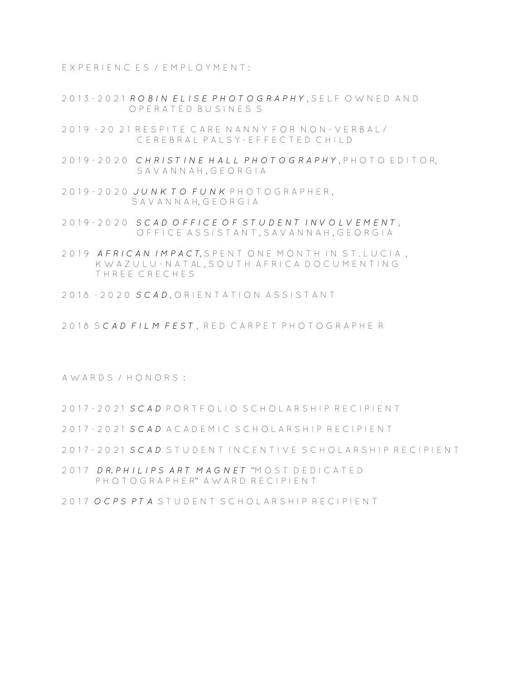E X P E R I E N C E S / E M P L O Y M E N T :

- 2 0 1 3 2 0 2 1 *R O B I N E L I S E P H O T O G R A P H Y* , S E L F O W N E D A N D O P E R A T E D B U S I N E S S
- 2 0 1 9 2 0 2 1 R E S P I T E C A R E N A N N Y F O R N O N V E R B A L / C E R E B R A L P A L S Y - E F F F C T E D C H I L D
- 2 0 1 9 2 0 2 0 *C H R I S T I N E H A L L P H O T O G R A P H Y* , P H O T O E D I T O R, S A V A N N A H, G F O R G I A
- 2 0 1 9 2 0 2 0 *J U N K T O F U N K* P H O T O G R A P H E R , S A V A N N A H, G E O R G I A
- 2 0 1 9 2 0 2 0 *S C A D O F F I C E O F S T U D E N T I N V O L V E M E N T* , OFFICE ASSISTANT, SAVANNAH, GEORGIA
- 2019 AFRICAN IMPACT, SPENT ONE MONTH IN ST. LUCIA, K W A Z U L U - N A T AL, S O U T H A F R I C A D O C U M E N T I N G THRFF CRECHES
- 2018 2020 *SCAD*, ORIENTATION ASSISTANT
- 2 0 1 8 S *C A D F I L M F E S T* , R E D C A R P E T P H O T O G R A P H E R

A W A R D S / H O N O R S :

- 2017 20 21 *SCAD* PORTFOLIO SCHOLARSHIP RECIPIENT
- 2 0 1 7 2 0 2 1 *S C A D* A C A D E M I C S C H O L A R S H I P R E C I P I E N T
- 2 0 1 7 2 0 2 1 *S C A D* S T U D E N T I N C E N T I V E S C H O L A R S H I P R E C I P I E N T
- 2 0 1 7 *D R. P H I L I P S A R T M A G N E T* "M O S T D E D I C A T E D P H O T O G R A P H F R" A W A R D R E C I P I F N T
- 2 0 1 7 *O C P S P T A* S T U D E N T S C H O L A R S H I P R E C I P I E N T